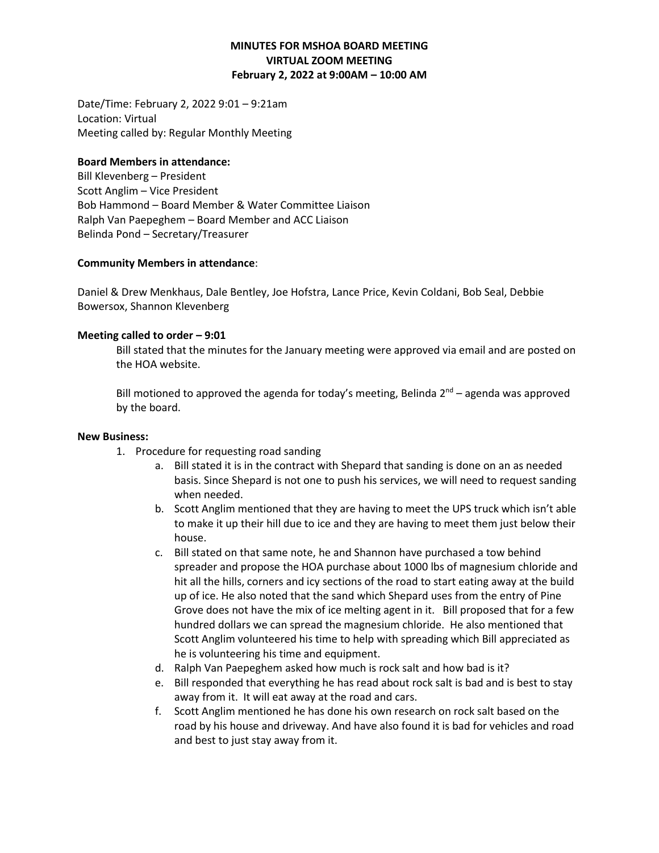## **MINUTES FOR MSHOA BOARD MEETING VIRTUAL ZOOM MEETING February 2, 2022 at 9:00AM – 10:00 AM**

Date/Time: February 2, 2022 9:01 – 9:21am Location: Virtual Meeting called by: Regular Monthly Meeting

#### **Board Members in attendance:**

Bill Klevenberg – President Scott Anglim – Vice President Bob Hammond – Board Member & Water Committee Liaison Ralph Van Paepeghem – Board Member and ACC Liaison Belinda Pond – Secretary/Treasurer

### **Community Members in attendance**:

Daniel & Drew Menkhaus, Dale Bentley, Joe Hofstra, Lance Price, Kevin Coldani, Bob Seal, Debbie Bowersox, Shannon Klevenberg

### **Meeting called to order – 9:01**

Bill stated that the minutes for the January meeting were approved via email and are posted on the HOA website.

Bill motioned to approved the agenda for today's meeting, Belinda 2<sup>nd</sup> – agenda was approved by the board.

#### **New Business:**

- 1. Procedure for requesting road sanding
	- a. Bill stated it is in the contract with Shepard that sanding is done on an as needed basis. Since Shepard is not one to push his services, we will need to request sanding when needed.
	- b. Scott Anglim mentioned that they are having to meet the UPS truck which isn't able to make it up their hill due to ice and they are having to meet them just below their house.
	- c. Bill stated on that same note, he and Shannon have purchased a tow behind spreader and propose the HOA purchase about 1000 lbs of magnesium chloride and hit all the hills, corners and icy sections of the road to start eating away at the build up of ice. He also noted that the sand which Shepard uses from the entry of Pine Grove does not have the mix of ice melting agent in it. Bill proposed that for a few hundred dollars we can spread the magnesium chloride. He also mentioned that Scott Anglim volunteered his time to help with spreading which Bill appreciated as he is volunteering his time and equipment.
	- d. Ralph Van Paepeghem asked how much is rock salt and how bad is it?
	- e. Bill responded that everything he has read about rock salt is bad and is best to stay away from it. It will eat away at the road and cars.
	- f. Scott Anglim mentioned he has done his own research on rock salt based on the road by his house and driveway. And have also found it is bad for vehicles and road and best to just stay away from it.